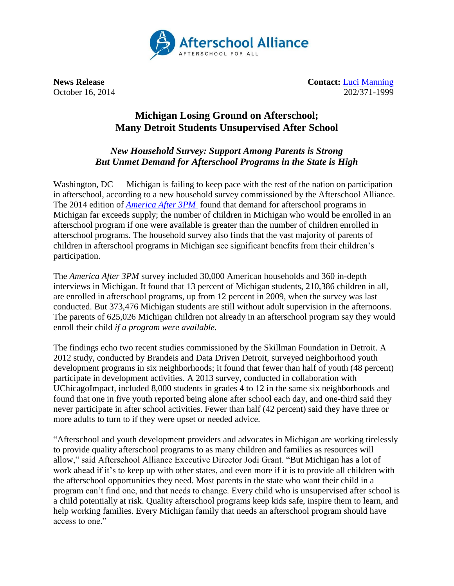

**News Release Contact:** [Luci Manning](mailto:luci@prsolutionsdc.com) October 16, 2014 202/371-1999

## **Michigan Losing Ground on Afterschool; Many Detroit Students Unsupervised After School**

## *New Household Survey: Support Among Parents is Strong But Unmet Demand for Afterschool Programs in the State is High*

Washington, DC — Michigan is failing to keep pace with the rest of the nation on participation in afterschool, according to a new household survey commissioned by the Afterschool Alliance. The 2014 edition of *[America After 3PM](http://www.afterschoolalliance.org/AA3PM)* found that demand for afterschool programs in Michigan far exceeds supply; the number of children in Michigan who would be enrolled in an afterschool program if one were available is greater than the number of children enrolled in afterschool programs. The household survey also finds that the vast majority of parents of children in afterschool programs in Michigan see significant benefits from their children's participation.

The *America After 3PM* survey included 30,000 American households and 360 in-depth interviews in Michigan. It found that 13 percent of Michigan students, 210,386 children in all, are enrolled in afterschool programs, up from 12 percent in 2009, when the survey was last conducted. But 373,476 Michigan students are still without adult supervision in the afternoons. The parents of 625,026 Michigan children not already in an afterschool program say they would enroll their child *if a program were available.*

The findings echo two recent studies commissioned by the Skillman Foundation in Detroit. A 2012 study, conducted by Brandeis and Data Driven Detroit, surveyed neighborhood youth development programs in six neighborhoods; it found that fewer than half of youth (48 percent) participate in development activities. A 2013 survey, conducted in collaboration with UChicagoImpact, included 8,000 students in grades 4 to 12 in the same six neighborhoods and found that one in five youth reported being alone after school each day, and one-third said they never participate in after school activities. Fewer than half (42 percent) said they have three or more adults to turn to if they were upset or needed advice.

"Afterschool and youth development providers and advocates in Michigan are working tirelessly to provide quality afterschool programs to as many children and families as resources will allow," said Afterschool Alliance Executive Director Jodi Grant. "But Michigan has a lot of work ahead if it's to keep up with other states, and even more if it is to provide all children with the afterschool opportunities they need. Most parents in the state who want their child in a program can't find one, and that needs to change. Every child who is unsupervised after school is a child potentially at risk. Quality afterschool programs keep kids safe, inspire them to learn, and help working families. Every Michigan family that needs an afterschool program should have access to one."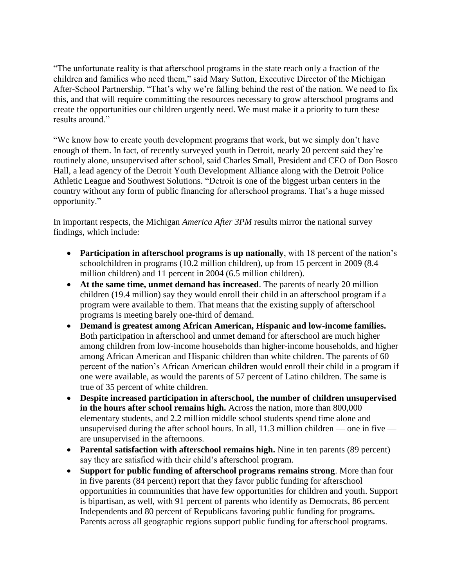"The unfortunate reality is that afterschool programs in the state reach only a fraction of the children and families who need them," said Mary Sutton, Executive Director of the Michigan After-School Partnership. "That's why we're falling behind the rest of the nation. We need to fix this, and that will require committing the resources necessary to grow afterschool programs and create the opportunities our children urgently need. We must make it a priority to turn these results around."

"We know how to create youth development programs that work, but we simply don't have enough of them. In fact, of recently surveyed youth in Detroit, nearly 20 percent said they're routinely alone, unsupervised after school, said Charles Small, President and CEO of Don Bosco Hall, a lead agency of the Detroit Youth Development Alliance along with the Detroit Police Athletic League and Southwest Solutions. "Detroit is one of the biggest urban centers in the country without any form of public financing for afterschool programs. That's a huge missed opportunity."

In important respects, the Michigan *America After 3PM* results mirror the national survey findings, which include:

- **Participation in afterschool programs is up nationally**, with 18 percent of the nation's schoolchildren in programs (10.2 million children), up from 15 percent in 2009 (8.4 million children) and 11 percent in 2004 (6.5 million children).
- **At the same time, unmet demand has increased**. The parents of nearly 20 million children (19.4 million) say they would enroll their child in an afterschool program if a program were available to them. That means that the existing supply of afterschool programs is meeting barely one-third of demand.
- **Demand is greatest among African American, Hispanic and low-income families.**  Both participation in afterschool and unmet demand for afterschool are much higher among children from low-income households than higher-income households, and higher among African American and Hispanic children than white children. The parents of 60 percent of the nation's African American children would enroll their child in a program if one were available, as would the parents of 57 percent of Latino children. The same is true of 35 percent of white children.
- **Despite increased participation in afterschool, the number of children unsupervised in the hours after school remains high.** Across the nation, more than 800,000 elementary students, and 2.2 million middle school students spend time alone and unsupervised during the after school hours. In all, 11.3 million children — one in five are unsupervised in the afternoons.
- Parental satisfaction with afterschool remains high. Nine in ten parents (89 percent) say they are satisfied with their child's afterschool program.
- **Support for public funding of afterschool programs remains strong**. More than four in five parents (84 percent) report that they favor public funding for afterschool opportunities in communities that have few opportunities for children and youth. Support is bipartisan, as well, with 91 percent of parents who identify as Democrats, 86 percent Independents and 80 percent of Republicans favoring public funding for programs. Parents across all geographic regions support public funding for afterschool programs.